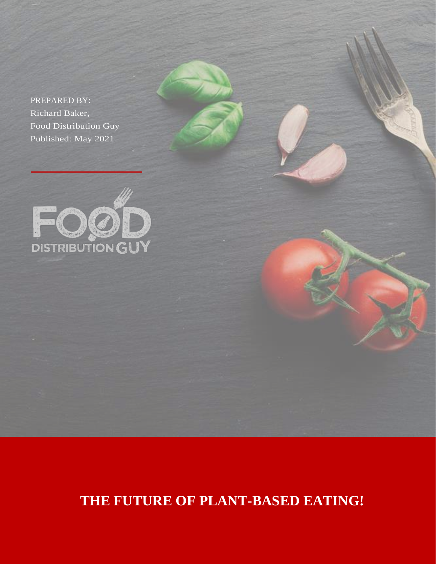PREPARED BY: Richard Baker, Food Distribution Guy Published: May 2021



**THE FUTURE OF PLANT-BASED EATING!**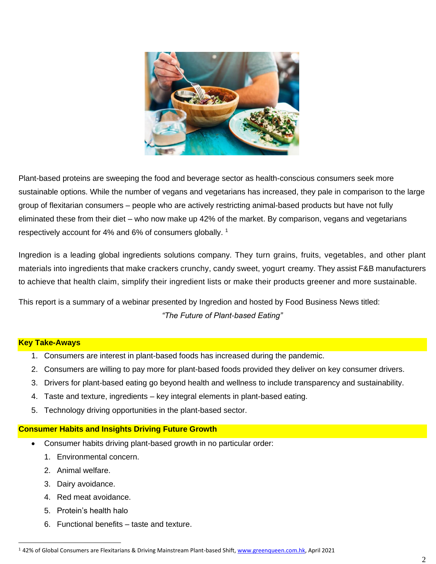

Plant-based proteins are sweeping the food and beverage sector as health-conscious consumers seek more sustainable options. While the number of vegans and vegetarians has increased, they pale in comparison to the large group of flexitarian consumers – people who are actively restricting animal-based products but have not fully eliminated these from their diet – who now make up 42% of the market. By comparison, vegans and vegetarians respectively account for 4% and 6% of consumers globally.<sup>1</sup>

Ingredion is a leading global ingredients solutions company. They turn grains, fruits, vegetables, and other plant materials into ingredients that make crackers crunchy, candy sweet, yogurt creamy. They assist F&B manufacturers to achieve that health claim, simplify their ingredient lists or make their products greener and more sustainable.

This report is a summary of a webinar presented by Ingredion and hosted by Food Business News titled: *"The Future of Plant-based Eating"*

## **Key Take-Aways**

- 1. Consumers are interest in plant-based foods has increased during the pandemic.
- 2. Consumers are willing to pay more for plant-based foods provided they deliver on key consumer drivers.
- 3. Drivers for plant-based eating go beyond health and wellness to include transparency and sustainability.
- 4. Taste and texture, ingredients key integral elements in plant-based eating.
- 5. Technology driving opportunities in the plant-based sector.

## **Consumer Habits and Insights Driving Future Growth**

- Consumer habits driving plant-based growth in no particular order:
	- 1. Environmental concern.
	- 2. Animal welfare.
	- 3. Dairy avoidance.
	- 4. Red meat avoidance.
	- 5. Protein's health halo
	- 6. Functional benefits taste and texture.

<sup>1</sup> 42% of Global Consumers are Flexitarians & Driving Mainstream Plant-based Shift[, www.greenqueen.com.hk,](http://www.greenqueen.com.hk/) April 2021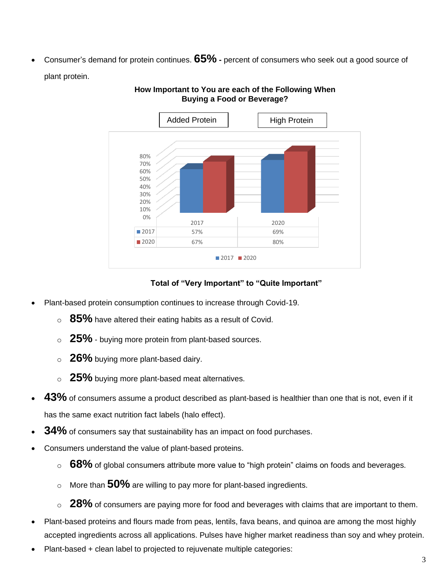• Consumer's demand for protein continues. **65% -** percent of consumers who seek out a good source of plant protein.



# **How Important to You are each of the Following When Buying a Food or Beverage?**

# **Total of "Very Important" to "Quite Important"**

- Plant-based protein consumption continues to increase through Covid-19.
	- <sup>o</sup> **85%** have altered their eating habits as a result of Covid.
	- <sup>o</sup> **25%** buying more protein from plant-based sources.
	- <sup>o</sup> **26%** buying more plant-based dairy.
	- <sup>o</sup> **25%** buying more plant-based meat alternatives.
- **43%** of consumers assume a product described as plant-based is healthier than one that is not, even if it has the same exact nutrition fact labels (halo effect).
- **34%** of consumers say that sustainability has an impact on food purchases.
- Consumers understand the value of plant-based proteins.
	- <sup>o</sup> **68%** of global consumers attribute more value to "high protein" claims on foods and beverages.
	- <sup>o</sup> More than **50%** are willing to pay more for plant-based ingredients.
	- <sup>o</sup> 28% of consumers are paying more for food and beverages with claims that are important to them.
- Plant-based proteins and flours made from peas, lentils, fava beans, and quinoa are among the most highly accepted ingredients across all applications. Pulses have higher market readiness than soy and whey protein.
- Plant-based + clean label to projected to rejuvenate multiple categories: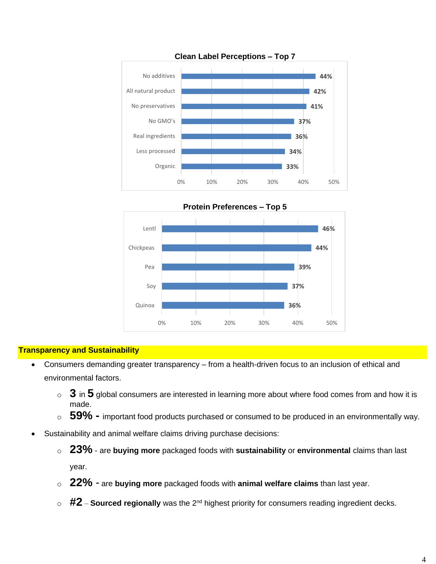



**Transparency and Sustainability**

- Consumers demanding greater transparency from a health-driven focus to an inclusion of ethical and environmental factors.
	- <sup>o</sup> **3** in **5** global consumers are interested in learning more about where food comes from and how it is made.
	- <sup>o</sup> **59% -** important food products purchased or consumed to be produced in an environmentally way.
- Sustainability and animal welfare claims driving purchase decisions:
	- <sup>o</sup> **23%** are **buying more** packaged foods with **sustainability** or **environmental** claims than last year.
	- <sup>o</sup> **22%** are **buying more** packaged foods with **animal welfare claims** than last year.
	- o **#2 Sourced regionally** was the 2<sup>nd</sup> highest priority for consumers reading ingredient decks.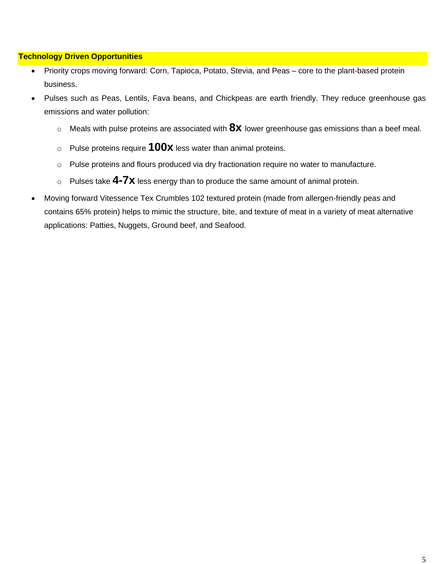# **Technology Driven Opportunities**

- Priority crops moving forward: Corn, Tapioca, Potato, Stevia, and Peas core to the plant-based protein business.
- Pulses such as Peas, Lentils, Fava beans, and Chickpeas are earth friendly. They reduce greenhouse gas emissions and water pollution:
	- <sup>o</sup> Meals with pulse proteins are associated with **8x** lower greenhouse gas emissions than a beef meal.
	- <sup>o</sup> Pulse proteins require **100x** less water than animal proteins.
	- o Pulse proteins and flours produced via dry fractionation require no water to manufacture.
	- <sup>o</sup> Pulses take **4-7x** less energy than to produce the same amount of animal protein.
- Moving forward Vitessence Tex Crumbles 102 textured protein (made from allergen-friendly peas and contains 65% protein) helps to mimic the structure, bite, and texture of meat in a variety of meat alternative applications: Patties, Nuggets, Ground beef, and Seafood.